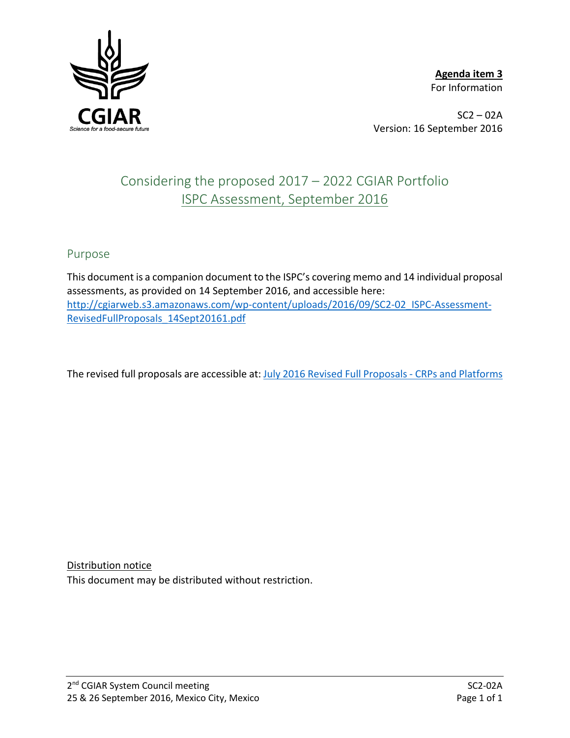

**Agenda item 3** For Information

 $SC2 - 02A$ Version: 16 September 2016

# Considering the proposed 2017 – 2022 CGIAR Portfolio ISPC Assessment, September 2016

## Purpose

This document is a companion document to the ISPC's covering memo and 14 individual proposal assessments, as provided on 14 September 2016, and accessible here: [http://cgiarweb.s3.amazonaws.com/wp-content/uploads/2016/09/SC2-02\\_ISPC-Assessment-](http://cgiarweb.s3.amazonaws.com/wp-content/uploads/2016/09/SC2-02_ISPC-Assessment-RevisedFullProposals_14Sept20161.pdf)[RevisedFullProposals\\_14Sept20161.pdf](http://cgiarweb.s3.amazonaws.com/wp-content/uploads/2016/09/SC2-02_ISPC-Assessment-RevisedFullProposals_14Sept20161.pdf)

The revised full proposals are accessible at: [July 2016 Revised Full Proposals -](http://www.cgiar.org/our-strategy/second-call-for-cgiar-research-programs/cgiar-research-programs-and-platforms-revised-full-proposals-submitted-for-review/) CRPs and Platforms

Distribution notice

This document may be distributed without restriction.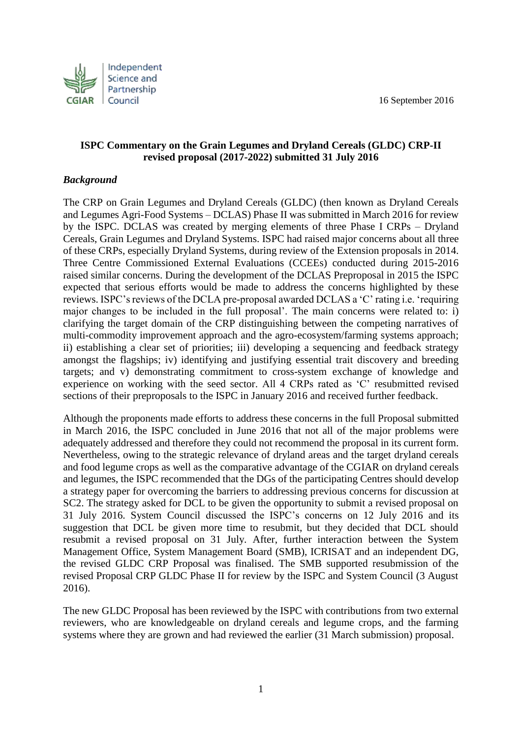16 September 2016



#### **ISPC Commentary on the Grain Legumes and Dryland Cereals (GLDC) CRP-II revised proposal (2017-2022) submitted 31 July 2016**

#### *Background*

The CRP on Grain Legumes and Dryland Cereals (GLDC) (then known as Dryland Cereals and Legumes Agri-Food Systems – DCLAS) Phase II was submitted in March 2016 for review by the ISPC. DCLAS was created by merging elements of three Phase I CRPs – Dryland Cereals, Grain Legumes and Dryland Systems. ISPC had raised major concerns about all three of these CRPs, especially Dryland Systems, during review of the Extension proposals in 2014. Three Centre Commissioned External Evaluations (CCEEs) conducted during 2015-2016 raised similar concerns. During the development of the DCLAS Preproposal in 2015 the ISPC expected that serious efforts would be made to address the concerns highlighted by these reviews. ISPC's reviews of the DCLA pre-proposal awarded DCLAS a 'C' rating i.e. 'requiring major changes to be included in the full proposal'. The main concerns were related to: i) clarifying the target domain of the CRP distinguishing between the competing narratives of multi-commodity improvement approach and the agro-ecosystem/farming systems approach; ii) establishing a clear set of priorities; iii) developing a sequencing and feedback strategy amongst the flagships; iv) identifying and justifying essential trait discovery and breeding targets; and v) demonstrating commitment to cross-system exchange of knowledge and experience on working with the seed sector. All 4 CRPs rated as 'C' resubmitted revised sections of their preproposals to the ISPC in January 2016 and received further feedback.

Although the proponents made efforts to address these concerns in the full Proposal submitted in March 2016, the ISPC concluded in June 2016 that not all of the major problems were adequately addressed and therefore they could not recommend the proposal in its current form. Nevertheless, owing to the strategic relevance of dryland areas and the target dryland cereals and food legume crops as well as the comparative advantage of the CGIAR on dryland cereals and legumes, the ISPC recommended that the DGs of the participating Centres should develop a strategy paper for overcoming the barriers to addressing previous concerns for discussion at SC2. The strategy asked for DCL to be given the opportunity to submit a revised proposal on 31 July 2016. System Council discussed the ISPC's concerns on 12 July 2016 and its suggestion that DCL be given more time to resubmit, but they decided that DCL should resubmit a revised proposal on 31 July. After, further interaction between the System Management Office, System Management Board (SMB), ICRISAT and an independent DG, the revised GLDC CRP Proposal was finalised. The SMB supported resubmission of the revised Proposal CRP GLDC Phase II for review by the ISPC and System Council (3 August 2016).

The new GLDC Proposal has been reviewed by the ISPC with contributions from two external reviewers, who are knowledgeable on dryland cereals and legume crops, and the farming systems where they are grown and had reviewed the earlier (31 March submission) proposal.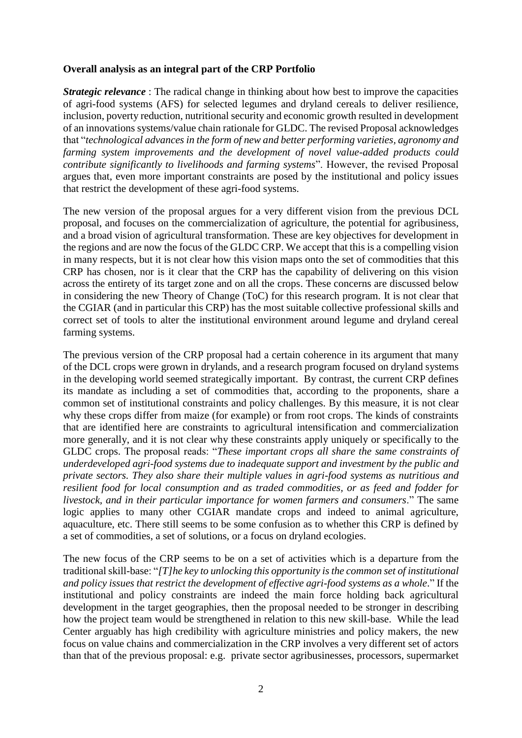#### **Overall analysis as an integral part of the CRP Portfolio**

*Strategic relevance*: The radical change in thinking about how best to improve the capacities of agri-food systems (AFS) for selected legumes and dryland cereals to deliver resilience, inclusion, poverty reduction, nutritional security and economic growth resulted in development of an innovations systems/value chain rationale for GLDC. The revised Proposal acknowledges that "*technological advances in the form of new and better performing varieties, agronomy and farming system improvements and the development of novel value-added products could contribute significantly to livelihoods and farming systems*". However, the revised Proposal argues that, even more important constraints are posed by the institutional and policy issues that restrict the development of these agri-food systems.

The new version of the proposal argues for a very different vision from the previous DCL proposal, and focuses on the commercialization of agriculture, the potential for agribusiness, and a broad vision of agricultural transformation. These are key objectives for development in the regions and are now the focus of the GLDC CRP. We accept that this is a compelling vision in many respects, but it is not clear how this vision maps onto the set of commodities that this CRP has chosen, nor is it clear that the CRP has the capability of delivering on this vision across the entirety of its target zone and on all the crops. These concerns are discussed below in considering the new Theory of Change (ToC) for this research program. It is not clear that the CGIAR (and in particular this CRP) has the most suitable collective professional skills and correct set of tools to alter the institutional environment around legume and dryland cereal farming systems.

The previous version of the CRP proposal had a certain coherence in its argument that many of the DCL crops were grown in drylands, and a research program focused on dryland systems in the developing world seemed strategically important. By contrast, the current CRP defines its mandate as including a set of commodities that, according to the proponents, share a common set of institutional constraints and policy challenges. By this measure, it is not clear why these crops differ from maize (for example) or from root crops. The kinds of constraints that are identified here are constraints to agricultural intensification and commercialization more generally, and it is not clear why these constraints apply uniquely or specifically to the GLDC crops. The proposal reads: "*These important crops all share the same constraints of underdeveloped agri-food systems due to inadequate support and investment by the public and private sectors. They also share their multiple values in agri-food systems as nutritious and resilient food for local consumption and as traded commodities, or as feed and fodder for livestock, and in their particular importance for women farmers and consumers*." The same logic applies to many other CGIAR mandate crops and indeed to animal agriculture, aquaculture, etc. There still seems to be some confusion as to whether this CRP is defined by a set of commodities, a set of solutions, or a focus on dryland ecologies.

The new focus of the CRP seems to be on a set of activities which is a departure from the traditional skill-base: "*[T]he key to unlocking this opportunity is the common set of institutional and policy issues that restrict the development of effective agri-food systems as a whole*." If the institutional and policy constraints are indeed the main force holding back agricultural development in the target geographies, then the proposal needed to be stronger in describing how the project team would be strengthened in relation to this new skill-base. While the lead Center arguably has high credibility with agriculture ministries and policy makers, the new focus on value chains and commercialization in the CRP involves a very different set of actors than that of the previous proposal: e.g. private sector agribusinesses, processors, supermarket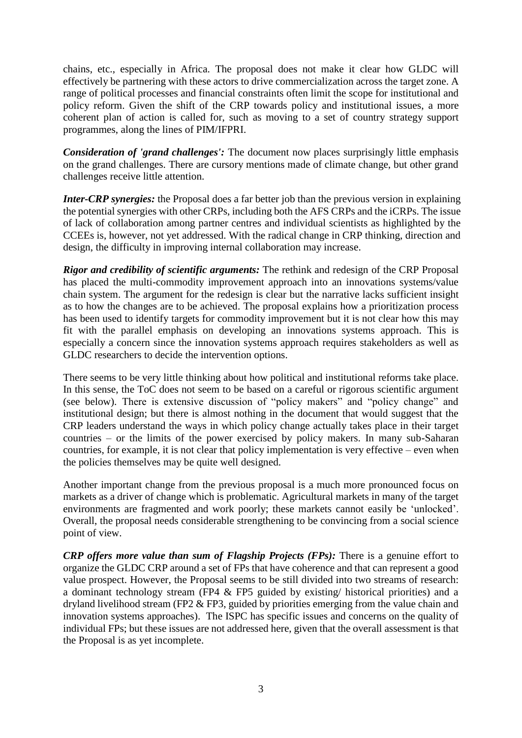chains, etc., especially in Africa. The proposal does not make it clear how GLDC will effectively be partnering with these actors to drive commercialization across the target zone. A range of political processes and financial constraints often limit the scope for institutional and policy reform. Given the shift of the CRP towards policy and institutional issues, a more coherent plan of action is called for, such as moving to a set of country strategy support programmes, along the lines of PIM/IFPRI.

*Consideration of 'grand challenges':* The document now places surprisingly little emphasis on the grand challenges. There are cursory mentions made of climate change, but other grand challenges receive little attention.

*Inter-CRP synergies:* the Proposal does a far better job than the previous version in explaining the potential synergies with other CRPs, including both the AFS CRPs and the iCRPs. The issue of lack of collaboration among partner centres and individual scientists as highlighted by the CCEEs is, however, not yet addressed. With the radical change in CRP thinking, direction and design, the difficulty in improving internal collaboration may increase.

*Rigor and credibility of scientific arguments:* The rethink and redesign of the CRP Proposal has placed the multi-commodity improvement approach into an innovations systems/value chain system. The argument for the redesign is clear but the narrative lacks sufficient insight as to how the changes are to be achieved. The proposal explains how a prioritization process has been used to identify targets for commodity improvement but it is not clear how this may fit with the parallel emphasis on developing an innovations systems approach. This is especially a concern since the innovation systems approach requires stakeholders as well as GLDC researchers to decide the intervention options.

There seems to be very little thinking about how political and institutional reforms take place. In this sense, the ToC does not seem to be based on a careful or rigorous scientific argument (see below). There is extensive discussion of "policy makers" and "policy change" and institutional design; but there is almost nothing in the document that would suggest that the CRP leaders understand the ways in which policy change actually takes place in their target countries – or the limits of the power exercised by policy makers. In many sub-Saharan countries, for example, it is not clear that policy implementation is very effective – even when the policies themselves may be quite well designed.

Another important change from the previous proposal is a much more pronounced focus on markets as a driver of change which is problematic. Agricultural markets in many of the target environments are fragmented and work poorly; these markets cannot easily be 'unlocked'. Overall, the proposal needs considerable strengthening to be convincing from a social science point of view.

*CRP offers more value than sum of Flagship Projects (FPs):* There is a genuine effort to organize the GLDC CRP around a set of FPs that have coherence and that can represent a good value prospect. However, the Proposal seems to be still divided into two streams of research: a dominant technology stream (FP4 & FP5 guided by existing/ historical priorities) and a dryland livelihood stream (FP2 & FP3, guided by priorities emerging from the value chain and innovation systems approaches). The ISPC has specific issues and concerns on the quality of individual FPs; but these issues are not addressed here, given that the overall assessment is that the Proposal is as yet incomplete.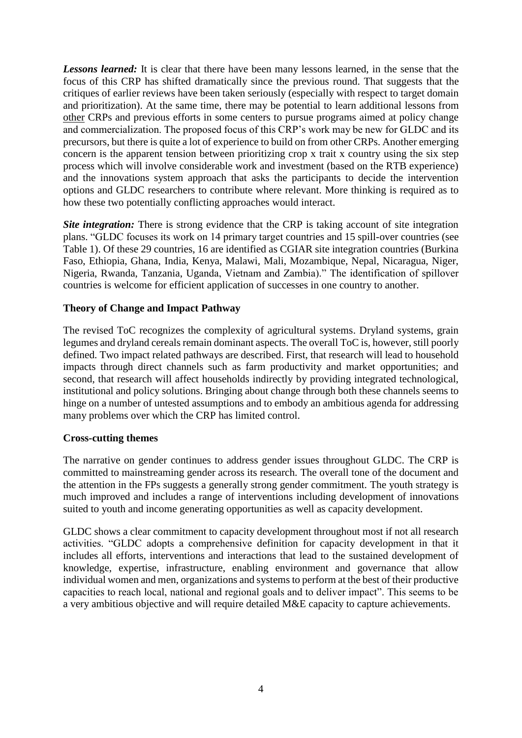*Lessons learned:* It is clear that there have been many lessons learned, in the sense that the focus of this CRP has shifted dramatically since the previous round. That suggests that the critiques of earlier reviews have been taken seriously (especially with respect to target domain and prioritization). At the same time, there may be potential to learn additional lessons from other CRPs and previous efforts in some centers to pursue programs aimed at policy change and commercialization. The proposed focus of this CRP's work may be new for GLDC and its precursors, but there is quite a lot of experience to build on from other CRPs. Another emerging concern is the apparent tension between prioritizing crop x trait x country using the six step process which will involve considerable work and investment (based on the RTB experience) and the innovations system approach that asks the participants to decide the intervention options and GLDC researchers to contribute where relevant. More thinking is required as to how these two potentially conflicting approaches would interact.

**Site integration:** There is strong evidence that the CRP is taking account of site integration plans. "GLDC focuses its work on 14 primary target countries and 15 spill-over countries (see Table 1). Of these 29 countries, 16 are identified as CGIAR site integration countries (Burkina Faso, Ethiopia, Ghana, India, Kenya, Malawi, Mali, Mozambique, Nepal, Nicaragua, Niger, Nigeria, Rwanda, Tanzania, Uganda, Vietnam and Zambia)." The identification of spillover countries is welcome for efficient application of successes in one country to another.

#### **Theory of Change and Impact Pathway**

The revised ToC recognizes the complexity of agricultural systems. Dryland systems, grain legumes and dryland cereals remain dominant aspects. The overall ToC is, however, still poorly defined. Two impact related pathways are described. First, that research will lead to household impacts through direct channels such as farm productivity and market opportunities; and second, that research will affect households indirectly by providing integrated technological, institutional and policy solutions. Bringing about change through both these channels seems to hinge on a number of untested assumptions and to embody an ambitious agenda for addressing many problems over which the CRP has limited control.

#### **Cross-cutting themes**

The narrative on gender continues to address gender issues throughout GLDC. The CRP is committed to mainstreaming gender across its research. The overall tone of the document and the attention in the FPs suggests a generally strong gender commitment. The youth strategy is much improved and includes a range of interventions including development of innovations suited to youth and income generating opportunities as well as capacity development.

GLDC shows a clear commitment to capacity development throughout most if not all research activities. "GLDC adopts a comprehensive definition for capacity development in that it includes all efforts, interventions and interactions that lead to the sustained development of knowledge, expertise, infrastructure, enabling environment and governance that allow individual women and men, organizations and systems to perform at the best of their productive capacities to reach local, national and regional goals and to deliver impact". This seems to be a very ambitious objective and will require detailed M&E capacity to capture achievements.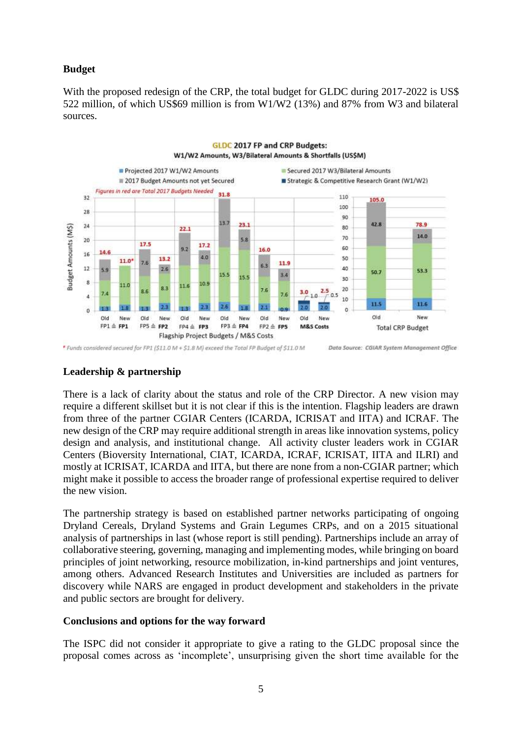### **Budget**

With the proposed redesign of the CRP, the total budget for GLDC during 2017-2022 is US\$ 522 million, of which US\$69 million is from W1/W2 (13%) and 87% from W3 and bilateral sources.



#### **Leadership & partnership**

There is a lack of clarity about the status and role of the CRP Director. A new vision may require a different skillset but it is not clear if this is the intention. Flagship leaders are drawn from three of the partner CGIAR Centers (ICARDA, ICRISAT and IITA) and ICRAF. The new design of the CRP may require additional strength in areas like innovation systems, policy design and analysis, and institutional change. All activity cluster leaders work in CGIAR Centers (Bioversity International, CIAT, ICARDA, ICRAF, ICRISAT, IITA and ILRI) and mostly at ICRISAT, ICARDA and IITA, but there are none from a non-CGIAR partner; which might make it possible to access the broader range of professional expertise required to deliver the new vision.

The partnership strategy is based on established partner networks participating of ongoing Dryland Cereals, Dryland Systems and Grain Legumes CRPs, and on a 2015 situational analysis of partnerships in last (whose report is still pending). Partnerships include an array of collaborative steering, governing, managing and implementing modes, while bringing on board principles of joint networking, resource mobilization, in-kind partnerships and joint ventures, among others. Advanced Research Institutes and Universities are included as partners for discovery while NARS are engaged in product development and stakeholders in the private and public sectors are brought for delivery.

#### **Conclusions and options for the way forward**

The ISPC did not consider it appropriate to give a rating to the GLDC proposal since the proposal comes across as 'incomplete', unsurprising given the short time available for the